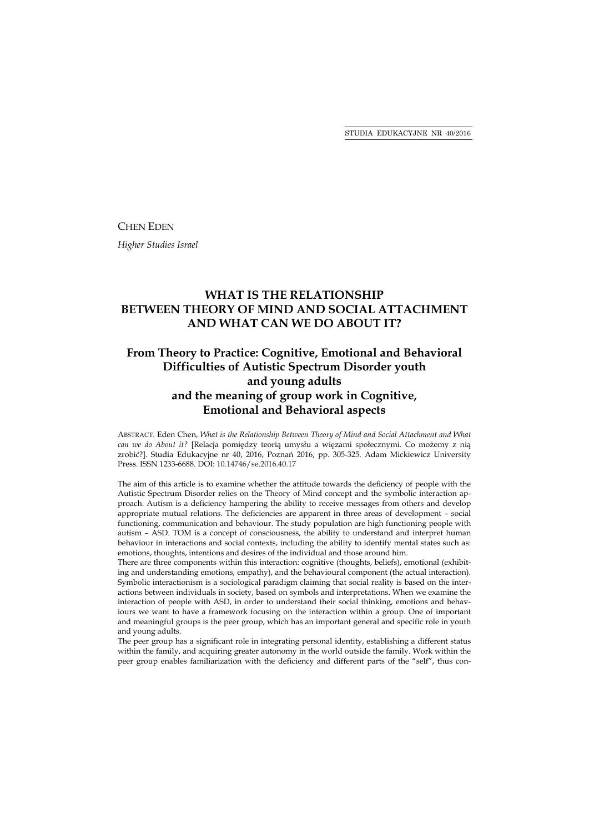CHEN EDEN

*Higher Studies Israel* 

# **WHAT IS THE RELATIONSHIP BETWEEN THEORY OF MIND AND SOCIAL ATTACHMENT AND WHAT CAN WE DO ABOUT IT?**

# **From Theory to Practice: Cognitive, Emotional and Behavioral Difficulties of Autistic Spectrum Disorder youth and young adults and the meaning of group work in Cognitive, Emotional and Behavioral aspects**

ABSTRACT. Eden Chen, *What is the Relationship Between Theory of Mind and Social Attachment and What can we do About it?* [Relacja pomiędzy teorią umysłu a więzami społecznymi. Co możemy z nią zrobić?]. Studia Edukacyjne nr 40, 2016, Poznań 2016, pp. 305-325. Adam Mickiewicz University Press. ISSN 1233-6688. DOI: 10.14746/se.2016.40.17

The aim of this article is to examine whether the attitude towards the deficiency of people with the Autistic Spectrum Disorder relies on the Theory of Mind concept and the symbolic interaction approach. Autism is a deficiency hampering the ability to receive messages from others and develop appropriate mutual relations. The deficiencies are apparent in three areas of development – social functioning, communication and behaviour. The study population are high functioning people with autism – ASD. TOM is a concept of consciousness, the ability to understand and interpret human behaviour in interactions and social contexts, including the ability to identify mental states such as: emotions, thoughts, intentions and desires of the individual and those around him.

There are three components within this interaction: cognitive (thoughts, beliefs), emotional (exhibiting and understanding emotions, empathy), and the behavioural component (the actual interaction). Symbolic interactionism is a sociological paradigm claiming that social reality is based on the interactions between individuals in society, based on symbols and interpretations. When we examine the interaction of people with ASD, in order to understand their social thinking, emotions and behaviours we want to have a framework focusing on the interaction within a group. One of important and meaningful groups is the peer group, which has an important general and specific role in youth and young adults.

The peer group has a significant role in integrating personal identity, establishing a different status within the family, and acquiring greater autonomy in the world outside the family. Work within the peer group enables familiarization with the deficiency and different parts of the "self", thus con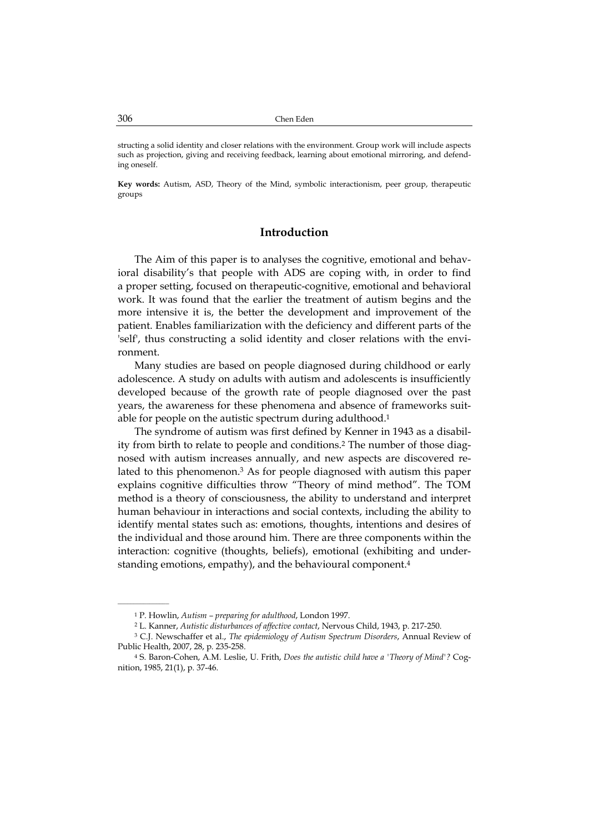structing a solid identity and closer relations with the environment. Group work will include aspects such as projection, giving and receiving feedback, learning about emotional mirroring, and defending oneself.

**Key words:** Autism, ASD, Theory of the Mind, symbolic interactionism, peer group, therapeutic groups

### **Introduction**

The Aim of this paper is to analyses the cognitive, emotional and behavioral disability's that people with ADS are coping with, in order to find a proper setting, focused on therapeutic-cognitive, emotional and behavioral work. It was found that the earlier the treatment of autism begins and the more intensive it is, the better the development and improvement of the patient. Enables familiarization with the deficiency and different parts of the 'self', thus constructing a solid identity and closer relations with the environment.

Many studies are based on people diagnosed during childhood or early adolescence. A study on adults with autism and adolescents is insufficiently developed because of the growth rate of people diagnosed over the past years, the awareness for these phenomena and absence of frameworks suitable for people on the autistic spectrum during adulthood.1

The syndrome of autism was first defined by Kenner in 1943 as a disability from birth to relate to people and conditions.2 The number of those diagnosed with autism increases annually, and new aspects are discovered related to this phenomenon.3 As for people diagnosed with autism this paper explains cognitive difficulties throw "Theory of mind method". The TOM method is a theory of consciousness, the ability to understand and interpret human behaviour in interactions and social contexts, including the ability to identify mental states such as: emotions, thoughts, intentions and desires of the individual and those around him. There are three components within the interaction: cognitive (thoughts, beliefs), emotional (exhibiting and understanding emotions, empathy), and the behavioural component.<sup>4</sup>

<sup>1</sup> P. Howlin, *Autism – preparing for adulthood*, London 1997.

<sup>2</sup> L. Kanner, *Autistic disturbances of affective contact*, Nervous Child, 1943, p. 217-250.

<sup>3</sup> C.J. Newschaffer et al., *The epidemiology of Autism Spectrum Disorders*, Annual Review of Public Health, 2007, 28, p. 235-258.

<sup>4</sup> S. Baron-Cohen, A.M. Leslie, U. Frith, *Does the autistic child have a 'Theory of Mind'?* Cognition, 1985, 21(1), p. 37-46.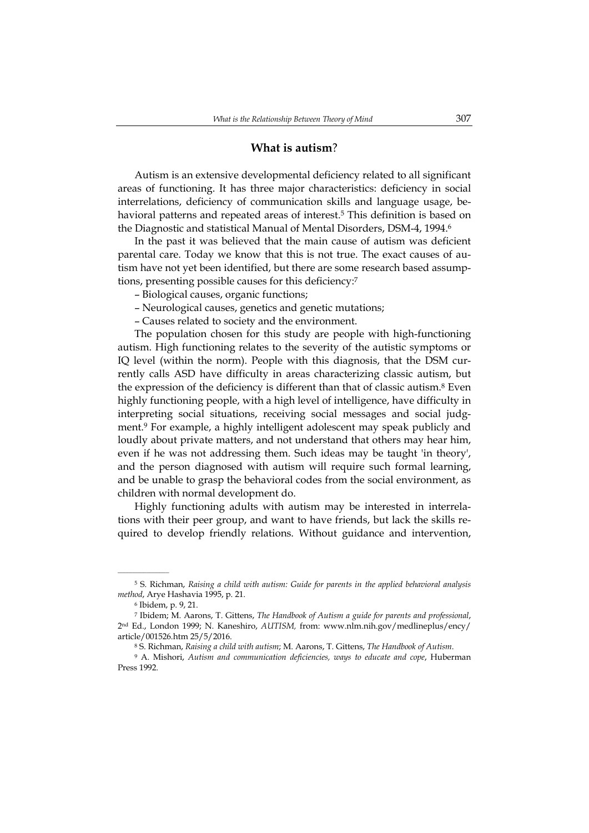### **What is autism**?

Autism is an extensive developmental deficiency related to all significant areas of functioning. It has three major characteristics: deficiency in social interrelations, deficiency of communication skills and language usage, behavioral patterns and repeated areas of interest.<sup>5</sup> This definition is based on the Diagnostic and statistical Manual of Mental Disorders, DSM-4, 1994.6

In the past it was believed that the main cause of autism was deficient parental care. Today we know that this is not true. The exact causes of autism have not yet been identified, but there are some research based assumptions, presenting possible causes for this deficiency:7

- Biological causes, organic functions;
- Neurological causes, genetics and genetic mutations;
- Causes related to society and the environment.

The population chosen for this study are people with high-functioning autism. High functioning relates to the severity of the autistic symptoms or IQ level (within the norm). People with this diagnosis, that the DSM currently calls ASD have difficulty in areas characterizing classic autism, but the expression of the deficiency is different than that of classic autism.8 Even highly functioning people, with a high level of intelligence, have difficulty in interpreting social situations, receiving social messages and social judgment.9 For example, a highly intelligent adolescent may speak publicly and loudly about private matters, and not understand that others may hear him, even if he was not addressing them. Such ideas may be taught 'in theory', and the person diagnosed with autism will require such formal learning, and be unable to grasp the behavioral codes from the social environment, as children with normal development do.

Highly functioning adults with autism may be interested in interrelations with their peer group, and want to have friends, but lack the skills required to develop friendly relations. Without guidance and intervention,

 $\overline{\phantom{a}}$  , where  $\overline{\phantom{a}}$ 

9 A. Mishori, *Autism and communication deficiencies, ways to educate and cope*, Huberman Press 1992.

<sup>5</sup> S. Richman, *Raising a child with autism: Guide for parents in the applied behavioral analysis method*, Arye Hashavia 1995, p. 21.

<sup>6</sup> Ibidem, p. 9, 21.

<sup>7</sup> Ibidem; M. Aarons, T. Gittens, *The Handbook of Autism a guide for parents and professional*, 2nd Ed., London 1999; N. Kaneshiro, *AUTISM,* from: www.nlm.nih.gov/medlineplus/ency/ article/001526.htm 25/5/2016.

<sup>8</sup> S. Richman, *Raising a child with autism*; M. Aarons, T. Gittens, *The Handbook of Autism*.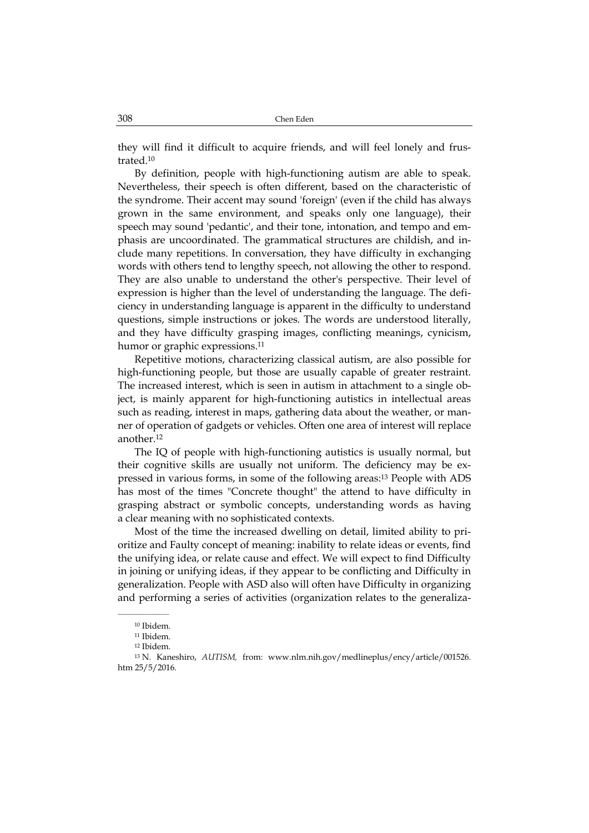they will find it difficult to acquire friends, and will feel lonely and frustrated.10

By definition, people with high-functioning autism are able to speak. Nevertheless, their speech is often different, based on the characteristic of the syndrome. Their accent may sound 'foreign' (even if the child has always grown in the same environment, and speaks only one language), their speech may sound 'pedantic', and their tone, intonation, and tempo and emphasis are uncoordinated. The grammatical structures are childish, and include many repetitions. In conversation, they have difficulty in exchanging words with others tend to lengthy speech, not allowing the other to respond. They are also unable to understand the other's perspective. Their level of expression is higher than the level of understanding the language. The deficiency in understanding language is apparent in the difficulty to understand questions, simple instructions or jokes. The words are understood literally, and they have difficulty grasping images, conflicting meanings, cynicism, humor or graphic expressions.<sup>11</sup>

Repetitive motions, characterizing classical autism, are also possible for high-functioning people, but those are usually capable of greater restraint. The increased interest, which is seen in autism in attachment to a single object, is mainly apparent for high-functioning autistics in intellectual areas such as reading, interest in maps, gathering data about the weather, or manner of operation of gadgets or vehicles. Often one area of interest will replace another.12

The IQ of people with high-functioning autistics is usually normal, but their cognitive skills are usually not uniform. The deficiency may be expressed in various forms, in some of the following areas:13 People with ADS has most of the times "Concrete thought" the attend to have difficulty in grasping abstract or symbolic concepts, understanding words as having a clear meaning with no sophisticated contexts.

Most of the time the increased dwelling on detail, limited ability to prioritize and Faulty concept of meaning: inability to relate ideas or events, find the unifying idea, or relate cause and effect. We will expect to find Difficulty in joining or unifying ideas, if they appear to be conflicting and Difficulty in generalization. People with ASD also will often have Difficulty in organizing and performing a series of activities (organization relates to the generaliza-

<sup>10</sup> Ibidem.

<sup>11</sup> Ibidem.

<sup>12</sup> Ibidem.

<sup>13</sup> N. Kaneshiro, *AUTISM,* from: www.nlm.nih.gov/medlineplus/ency/article/001526. htm 25/5/2016.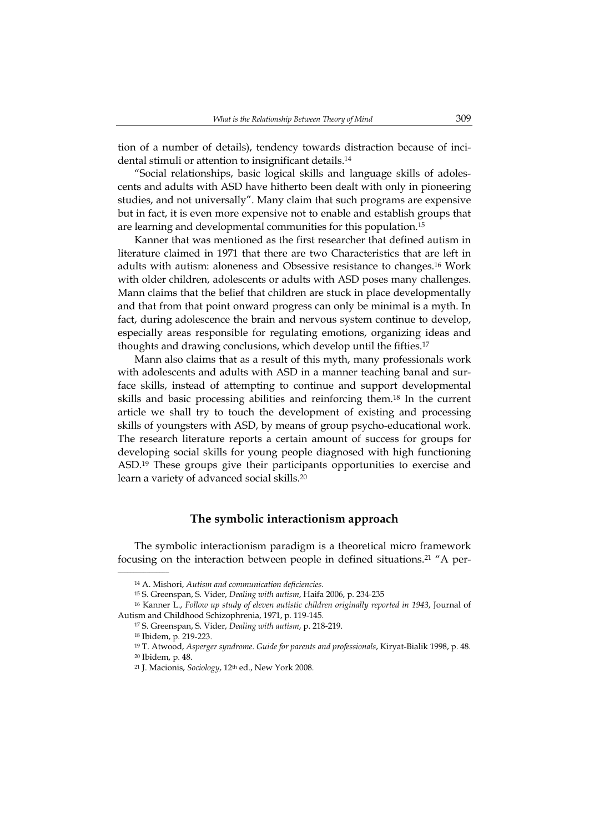tion of a number of details), tendency towards distraction because of incidental stimuli or attention to insignificant details.14

"Social relationships, basic logical skills and language skills of adolescents and adults with ASD have hitherto been dealt with only in pioneering studies, and not universally". Many claim that such programs are expensive but in fact, it is even more expensive not to enable and establish groups that are learning and developmental communities for this population.15

Kanner that was mentioned as the first researcher that defined autism in literature claimed in 1971 that there are two Characteristics that are left in adults with autism: aloneness and Obsessive resistance to changes.16 Work with older children, adolescents or adults with ASD poses many challenges. Mann claims that the belief that children are stuck in place developmentally and that from that point onward progress can only be minimal is a myth. In fact, during adolescence the brain and nervous system continue to develop, especially areas responsible for regulating emotions, organizing ideas and thoughts and drawing conclusions, which develop until the fifties.17

Mann also claims that as a result of this myth, many professionals work with adolescents and adults with ASD in a manner teaching banal and surface skills, instead of attempting to continue and support developmental skills and basic processing abilities and reinforcing them.18 In the current article we shall try to touch the development of existing and processing skills of youngsters with ASD, by means of group psycho-educational work. The research literature reports a certain amount of success for groups for developing social skills for young people diagnosed with high functioning ASD.19 These groups give their participants opportunities to exercise and learn a variety of advanced social skills.20

#### **The symbolic interactionism approach**

The symbolic interactionism paradigm is a theoretical micro framework focusing on the interaction between people in defined situations.21 "A per-

<sup>14</sup> A. Mishori, *Autism and communication deficiencies*.

<sup>15</sup> S. Greenspan, S. Vider, *Dealing with autism*, Haifa 2006, p. 234-235

<sup>16</sup> Kanner L., *Follow up study of eleven autistic children originally reported in 1943*, Journal of Autism and Childhood Schizophrenia, 1971, p. 119-145.

<sup>17</sup> S. Greenspan, S. Vider, *Dealing with autism*, p. 218-219.

<sup>18</sup> Ibidem, p. 219-223.

<sup>19</sup> T. Atwood, *Asperger syndrome. Guide for parents and professionals*, Kiryat-Bialik 1998, p. 48. 20 Ibidem, p. 48.

<sup>21</sup> J. Macionis, *Sociology*, 12th ed., New York 2008.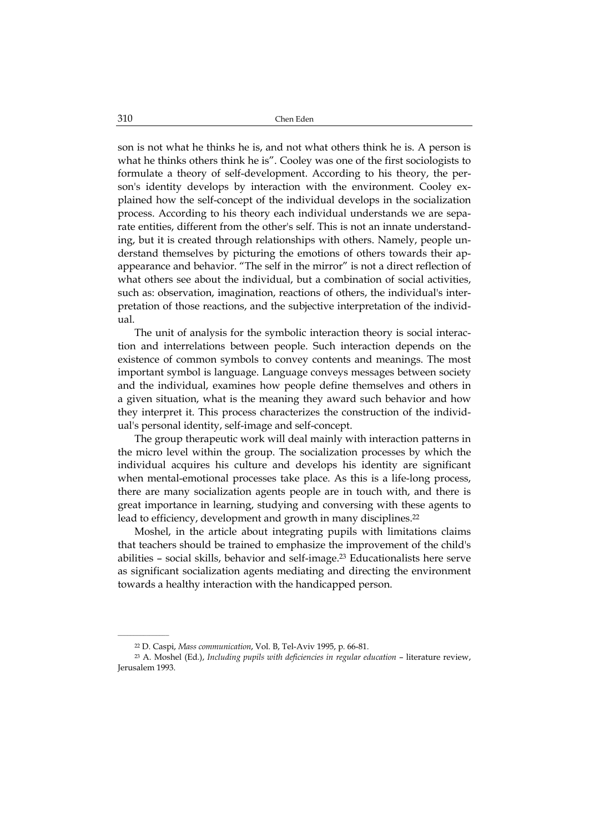son is not what he thinks he is, and not what others think he is. A person is what he thinks others think he is". Cooley was one of the first sociologists to formulate a theory of self-development. According to his theory, the person's identity develops by interaction with the environment. Cooley explained how the self-concept of the individual develops in the socialization process. According to his theory each individual understands we are separate entities, different from the other's self. This is not an innate understanding, but it is created through relationships with others. Namely, people understand themselves by picturing the emotions of others towards their apappearance and behavior. "The self in the mirror" is not a direct reflection of what others see about the individual, but a combination of social activities, such as: observation, imagination, reactions of others, the individual's interpretation of those reactions, and the subjective interpretation of the individual.

The unit of analysis for the symbolic interaction theory is social interaction and interrelations between people. Such interaction depends on the existence of common symbols to convey contents and meanings. The most important symbol is language. Language conveys messages between society and the individual, examines how people define themselves and others in a given situation, what is the meaning they award such behavior and how they interpret it. This process characterizes the construction of the individual's personal identity, self-image and self-concept.

The group therapeutic work will deal mainly with interaction patterns in the micro level within the group. The socialization processes by which the individual acquires his culture and develops his identity are significant when mental-emotional processes take place. As this is a life-long process, there are many socialization agents people are in touch with, and there is great importance in learning, studying and conversing with these agents to lead to efficiency, development and growth in many disciplines.<sup>22</sup>

Moshel, in the article about integrating pupils with limitations claims that teachers should be trained to emphasize the improvement of the child's abilities – social skills, behavior and self-image.<sup>23</sup> Educationalists here serve as significant socialization agents mediating and directing the environment towards a healthy interaction with the handicapped person.

<sup>22</sup> D. Caspi, *Mass communication*, Vol. B, Tel-Aviv 1995, p. 66-81.

<sup>23</sup> A. Moshel (Ed.), *Including pupils with deficiencies in regular education* – literature review, Jerusalem 1993.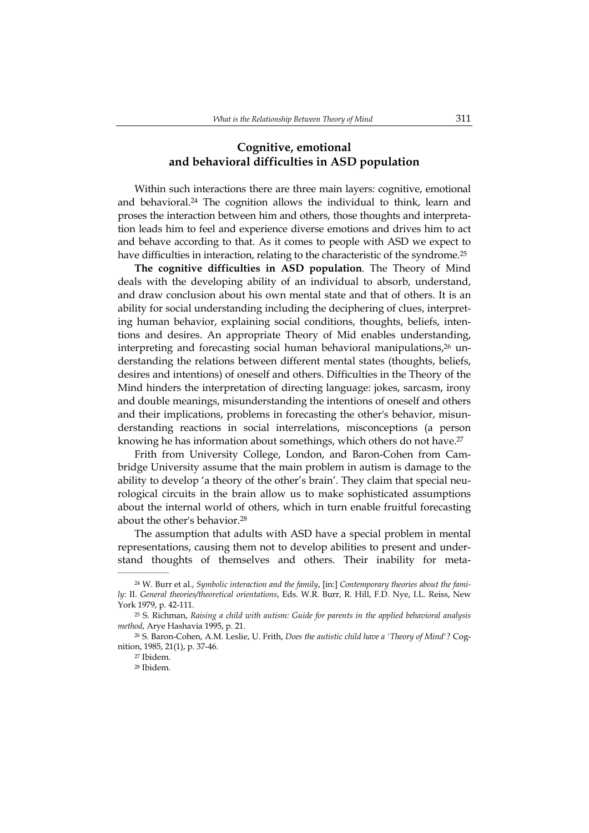# **Cognitive, emotional and behavioral difficulties in ASD population**

Within such interactions there are three main layers: cognitive, emotional and behavioral.24 The cognition allows the individual to think, learn and proses the interaction between him and others, those thoughts and interpretation leads him to feel and experience diverse emotions and drives him to act and behave according to that. As it comes to people with ASD we expect to have difficulties in interaction, relating to the characteristic of the syndrome.25

**The cognitive difficulties in ASD population**. The Theory of Mind deals with the developing ability of an individual to absorb, understand, and draw conclusion about his own mental state and that of others. It is an ability for social understanding including the deciphering of clues, interpreting human behavior, explaining social conditions, thoughts, beliefs, intentions and desires. An appropriate Theory of Mid enables understanding, interpreting and forecasting social human behavioral manipulations, $2<sup>6</sup>$  understanding the relations between different mental states (thoughts, beliefs, desires and intentions) of oneself and others. Difficulties in the Theory of the Mind hinders the interpretation of directing language: jokes, sarcasm, irony and double meanings, misunderstanding the intentions of oneself and others and their implications, problems in forecasting the other's behavior, misunderstanding reactions in social interrelations, misconceptions (a person knowing he has information about somethings, which others do not have.<sup>27</sup>

Frith from University College, London, and Baron-Cohen from Cambridge University assume that the main problem in autism is damage to the ability to develop 'a theory of the other's brain'. They claim that special neurological circuits in the brain allow us to make sophisticated assumptions about the internal world of others, which in turn enable fruitful forecasting about the other's behavior.<sup>28</sup>

The assumption that adults with ASD have a special problem in mental representations, causing them not to develop abilities to present and understand thoughts of themselves and others. Their inability for meta-

<sup>24</sup> W. Burr et al., *Symbolic interaction and the family*, [in:] *Contemporary theories about the family*: II. *General theories/theoretical orientations*, Eds. W.R. Burr, R. Hill, F.D. Nye, I.L. Reiss, New York 1979, p. 42-111.

<sup>25</sup> S. Richman, *Raising a child with autism: Guide for parents in the applied behavioral analysis method*, Arye Hashavia 1995, p. 21.

<sup>26</sup> S. Baron-Cohen, A.M. Leslie, U. Frith, *Does the autistic child have a 'Theory of Mind'?* Cognition, 1985, 21(1), p. 37-46.

<sup>27</sup> Ibidem.

<sup>28</sup> Ibidem.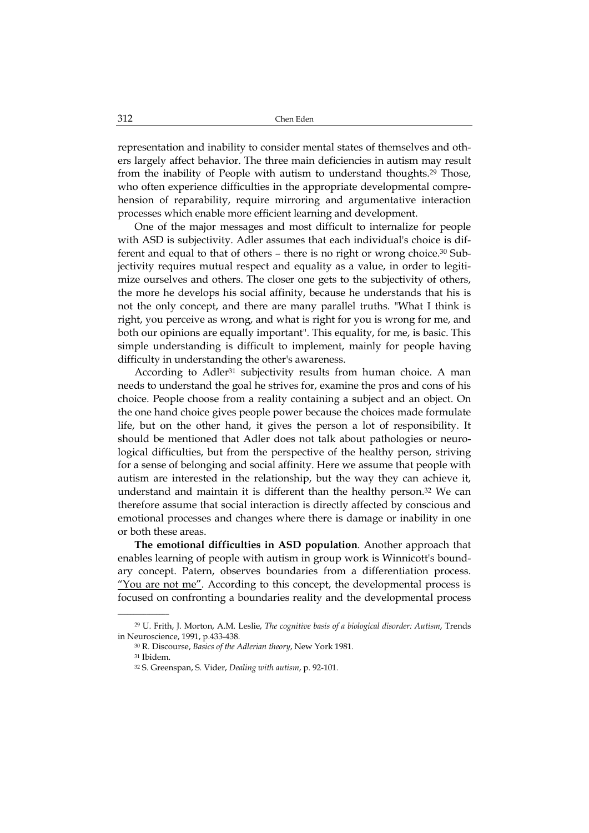representation and inability to consider mental states of themselves and others largely affect behavior. The three main deficiencies in autism may result from the inability of People with autism to understand thoughts.29 Those, who often experience difficulties in the appropriate developmental comprehension of reparability, require mirroring and argumentative interaction processes which enable more efficient learning and development.

One of the major messages and most difficult to internalize for people with ASD is subjectivity. Adler assumes that each individual's choice is different and equal to that of others – there is no right or wrong choice.30 Subjectivity requires mutual respect and equality as a value, in order to legitimize ourselves and others. The closer one gets to the subjectivity of others, the more he develops his social affinity, because he understands that his is not the only concept, and there are many parallel truths. "What I think is right, you perceive as wrong, and what is right for you is wrong for me, and both our opinions are equally important". This equality, for me, is basic. This simple understanding is difficult to implement, mainly for people having difficulty in understanding the other's awareness.

According to Adler<sup>31</sup> subjectivity results from human choice. A man needs to understand the goal he strives for, examine the pros and cons of his choice. People choose from a reality containing a subject and an object. On the one hand choice gives people power because the choices made formulate life, but on the other hand, it gives the person a lot of responsibility. It should be mentioned that Adler does not talk about pathologies or neurological difficulties, but from the perspective of the healthy person, striving for a sense of belonging and social affinity. Here we assume that people with autism are interested in the relationship, but the way they can achieve it, understand and maintain it is different than the healthy person. $32$  We can therefore assume that social interaction is directly affected by conscious and emotional processes and changes where there is damage or inability in one or both these areas.

**The emotional difficulties in ASD population**. Another approach that enables learning of people with autism in group work is Winnicott's boundary concept. Patern, observes boundaries from a differentiation process. "You are not me". According to this concept, the developmental process is focused on confronting a boundaries reality and the developmental process

<sup>29</sup> U. Frith, J. Morton, A.M. Leslie, *The cognitive basis of a biological disorder: Autism*, Trends in Neuroscience, 1991, p.433-438.

<sup>30</sup> R. Discourse, *Basics of the Adlerian theory*, New York 1981.

<sup>31</sup> Ibidem.

<sup>32</sup> S. Greenspan, S. Vider, *Dealing with autism*, p. 92-101.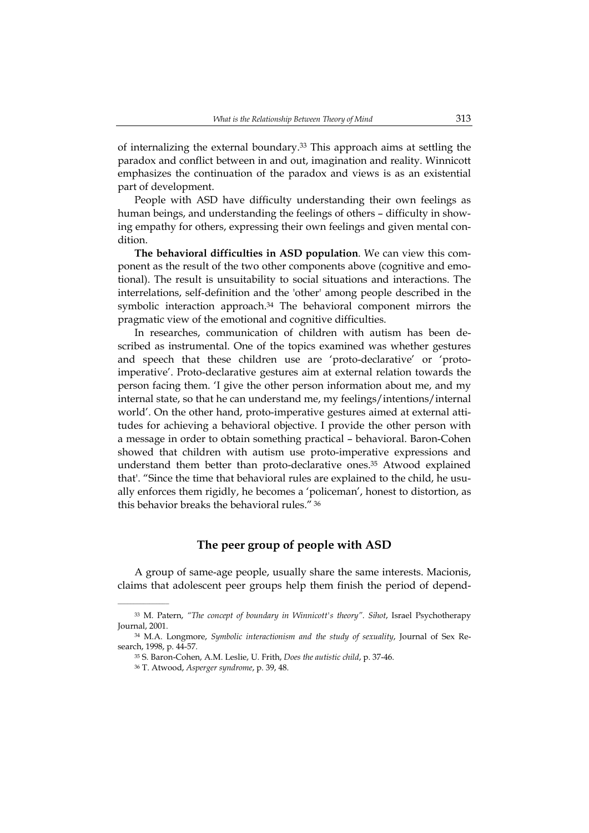of internalizing the external boundary.33 This approach aims at settling the paradox and conflict between in and out, imagination and reality. Winnicott emphasizes the continuation of the paradox and views is as an existential part of development.

People with ASD have difficulty understanding their own feelings as human beings, and understanding the feelings of others – difficulty in showing empathy for others, expressing their own feelings and given mental condition.

**The behavioral difficulties in ASD population**. We can view this component as the result of the two other components above (cognitive and emotional). The result is unsuitability to social situations and interactions. The interrelations, self-definition and the 'other' among people described in the symbolic interaction approach.34 The behavioral component mirrors the pragmatic view of the emotional and cognitive difficulties.

In researches, communication of children with autism has been described as instrumental. One of the topics examined was whether gestures and speech that these children use are 'proto-declarative' or 'protoimperative'. Proto-declarative gestures aim at external relation towards the person facing them. 'I give the other person information about me, and my internal state, so that he can understand me, my feelings/intentions/internal world'. On the other hand, proto-imperative gestures aimed at external attitudes for achieving a behavioral objective. I provide the other person with a message in order to obtain something practical – behavioral. Baron-Cohen showed that children with autism use proto-imperative expressions and understand them better than proto-declarative ones.35 Atwood explained that'. "Since the time that behavioral rules are explained to the child, he usually enforces them rigidly, he becomes a 'policeman', honest to distortion, as this behavior breaks the behavioral rules." 36

### **The peer group of people with ASD**

A group of same-age people, usually share the same interests. Macionis, claims that adolescent peer groups help them finish the period of depend-

<sup>33</sup> M. Patern, *"The concept of boundary in Winnicott's theory". Sihot*, Israel Psychotherapy Journal, 2001.

<sup>34</sup> M.A. Longmore, *Symbolic interactionism and the study of sexuality*, Journal of Sex Research, 1998, p. 44-57.

<sup>35</sup> S. Baron-Cohen, A.M. Leslie, U. Frith, *Does the autistic child*, p. 37-46.

<sup>36</sup> T. Atwood, *Asperger syndrome*, p. 39, 48.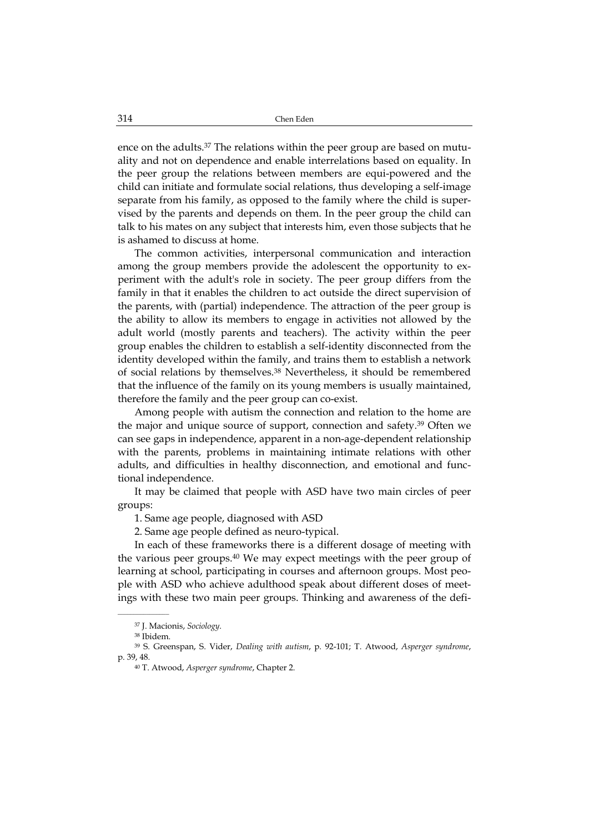ence on the adults.<sup>37</sup> The relations within the peer group are based on mutuality and not on dependence and enable interrelations based on equality. In the peer group the relations between members are equi-powered and the child can initiate and formulate social relations, thus developing a self-image separate from his family, as opposed to the family where the child is supervised by the parents and depends on them. In the peer group the child can talk to his mates on any subject that interests him, even those subjects that he is ashamed to discuss at home.

The common activities, interpersonal communication and interaction among the group members provide the adolescent the opportunity to experiment with the adult's role in society. The peer group differs from the family in that it enables the children to act outside the direct supervision of the parents, with (partial) independence. The attraction of the peer group is the ability to allow its members to engage in activities not allowed by the adult world (mostly parents and teachers). The activity within the peer group enables the children to establish a self-identity disconnected from the identity developed within the family, and trains them to establish a network of social relations by themselves.38 Nevertheless, it should be remembered that the influence of the family on its young members is usually maintained, therefore the family and the peer group can co-exist.

Among people with autism the connection and relation to the home are the major and unique source of support, connection and safety.39 Often we can see gaps in independence, apparent in a non-age-dependent relationship with the parents, problems in maintaining intimate relations with other adults, and difficulties in healthy disconnection, and emotional and functional independence.

It may be claimed that people with ASD have two main circles of peer groups:

1. Same age people, diagnosed with ASD

2. Same age people defined as neuro-typical.

In each of these frameworks there is a different dosage of meeting with the various peer groups.40 We may expect meetings with the peer group of learning at school, participating in courses and afternoon groups. Most people with ASD who achieve adulthood speak about different doses of meetings with these two main peer groups. Thinking and awareness of the defi-

<sup>37</sup> J. Macionis, *Sociology*.

<sup>38</sup> Ibidem.

<sup>39</sup> S. Greenspan, S. Vider, *Dealing with autism*, p. 92-101; T. Atwood, *Asperger syndrome*, p. 39, 48.

<sup>40</sup> T. Atwood, *Asperger syndrome*, Chapter 2.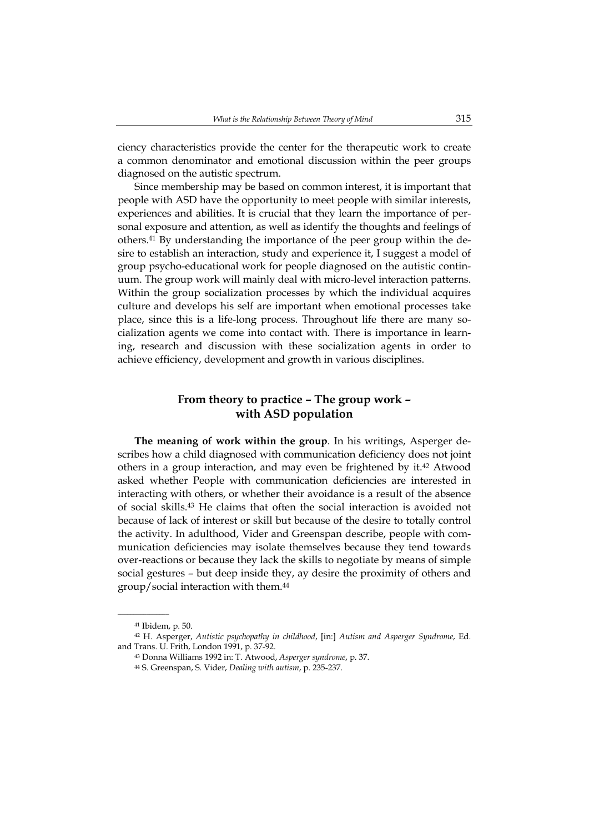ciency characteristics provide the center for the therapeutic work to create a common denominator and emotional discussion within the peer groups diagnosed on the autistic spectrum.

Since membership may be based on common interest, it is important that people with ASD have the opportunity to meet people with similar interests, experiences and abilities. It is crucial that they learn the importance of personal exposure and attention, as well as identify the thoughts and feelings of others.41 By understanding the importance of the peer group within the desire to establish an interaction, study and experience it, I suggest a model of group psycho-educational work for people diagnosed on the autistic continuum. The group work will mainly deal with micro-level interaction patterns. Within the group socialization processes by which the individual acquires culture and develops his self are important when emotional processes take place, since this is a life-long process. Throughout life there are many socialization agents we come into contact with. There is importance in learning, research and discussion with these socialization agents in order to achieve efficiency, development and growth in various disciplines.

## **From theory to practice – The group work – with ASD population**

**The meaning of work within the group**. In his writings, Asperger describes how a child diagnosed with communication deficiency does not joint others in a group interaction, and may even be frightened by it.42 Atwood asked whether People with communication deficiencies are interested in interacting with others, or whether their avoidance is a result of the absence of social skills.43 He claims that often the social interaction is avoided not because of lack of interest or skill but because of the desire to totally control the activity. In adulthood, Vider and Greenspan describe, people with communication deficiencies may isolate themselves because they tend towards over-reactions or because they lack the skills to negotiate by means of simple social gestures – but deep inside they, ay desire the proximity of others and group/social interaction with them.44

<sup>41</sup> Ibidem, p. 50.

<sup>42</sup> H. Asperger, *Autistic psychopathy in childhood*, [in:] *Autism and Asperger Syndrome*, Ed. and Trans. U. Frith, London 1991, p. 37-92.

<sup>43</sup> Donna Williams 1992 in: T. Atwood, *Asperger syndrome*, p. 37.

<sup>44</sup> S. Greenspan, S. Vider, *Dealing with autism*, p. 235-237.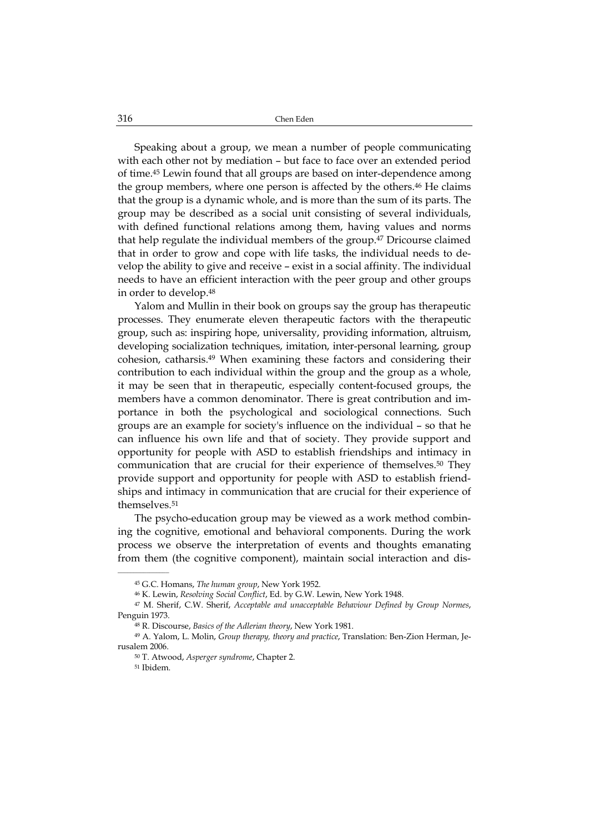Speaking about a group, we mean a number of people communicating with each other not by mediation – but face to face over an extended period of time.45 Lewin found that all groups are based on inter-dependence among the group members, where one person is affected by the others.<sup>46</sup> He claims that the group is a dynamic whole, and is more than the sum of its parts. The group may be described as a social unit consisting of several individuals, with defined functional relations among them, having values and norms that help regulate the individual members of the group.47 Dricourse claimed that in order to grow and cope with life tasks, the individual needs to develop the ability to give and receive – exist in a social affinity. The individual needs to have an efficient interaction with the peer group and other groups in order to develop.48

Yalom and Mullin in their book on groups say the group has therapeutic processes. They enumerate eleven therapeutic factors with the therapeutic group, such as: inspiring hope, universality, providing information, altruism, developing socialization techniques, imitation, inter-personal learning, group cohesion, catharsis.49 When examining these factors and considering their contribution to each individual within the group and the group as a whole, it may be seen that in therapeutic, especially content-focused groups, the members have a common denominator. There is great contribution and importance in both the psychological and sociological connections. Such groups are an example for society's influence on the individual – so that he can influence his own life and that of society. They provide support and opportunity for people with ASD to establish friendships and intimacy in communication that are crucial for their experience of themselves.50 They provide support and opportunity for people with ASD to establish friendships and intimacy in communication that are crucial for their experience of themselves.51

The psycho-education group may be viewed as a work method combining the cognitive, emotional and behavioral components. During the work process we observe the interpretation of events and thoughts emanating from them (the cognitive component), maintain social interaction and dis-

<sup>45</sup> G.C. Homans, *The human group*, New York 1952.

<sup>46</sup> K. Lewin, *Resolving Social Conflict*, Ed. by G.W. Lewin, New York 1948.

<sup>47</sup> M. Sherif, C.W. Sherif, *Acceptable and unacceptable Behaviour Defined by Group Normes*, Penguin 1973.

<sup>48</sup> R. Discourse, *Basics of the Adlerian theory*, New York 1981.

<sup>49</sup> A. Yalom, L. Molin, *Group therapy, theory and practice*, Translation: Ben-Zion Herman, Jerusalem 2006.

<sup>50</sup> T. Atwood, *Asperger syndrome*, Chapter 2.

<sup>51</sup> Ibidem.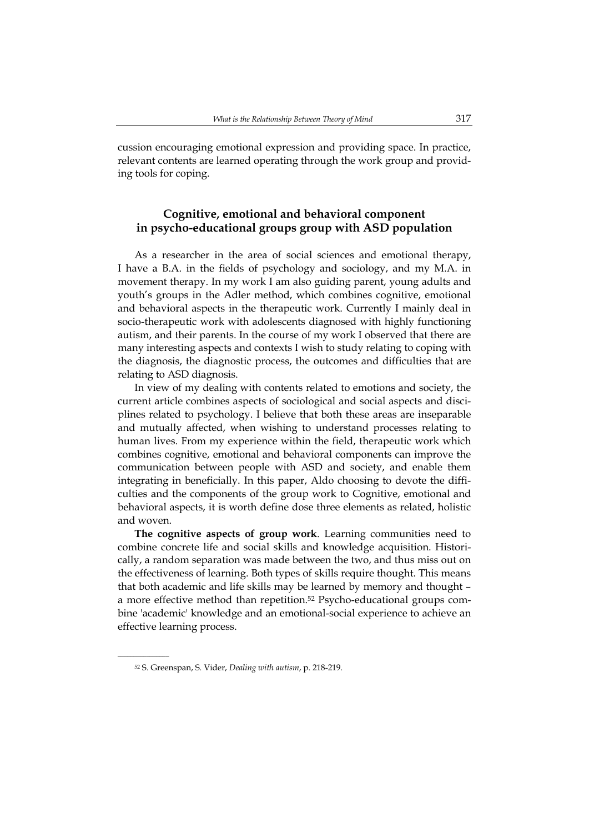cussion encouraging emotional expression and providing space. In practice, relevant contents are learned operating through the work group and providing tools for coping.

# **Cognitive, emotional and behavioral component in psycho-educational groups group with ASD population**

As a researcher in the area of social sciences and emotional therapy, I have a B.A. in the fields of psychology and sociology, and my M.A. in movement therapy. In my work I am also guiding parent, young adults and youth's groups in the Adler method, which combines cognitive, emotional and behavioral aspects in the therapeutic work. Currently I mainly deal in socio-therapeutic work with adolescents diagnosed with highly functioning autism, and their parents. In the course of my work I observed that there are many interesting aspects and contexts I wish to study relating to coping with the diagnosis, the diagnostic process, the outcomes and difficulties that are relating to ASD diagnosis.

In view of my dealing with contents related to emotions and society, the current article combines aspects of sociological and social aspects and disciplines related to psychology. I believe that both these areas are inseparable and mutually affected, when wishing to understand processes relating to human lives. From my experience within the field, therapeutic work which combines cognitive, emotional and behavioral components can improve the communication between people with ASD and society, and enable them integrating in beneficially. In this paper, Aldo choosing to devote the difficulties and the components of the group work to Cognitive, emotional and behavioral aspects, it is worth define dose three elements as related, holistic and woven.

**The cognitive aspects of group work**. Learning communities need to combine concrete life and social skills and knowledge acquisition. Historically, a random separation was made between the two, and thus miss out on the effectiveness of learning. Both types of skills require thought. This means that both academic and life skills may be learned by memory and thought – a more effective method than repetition.52 Psycho-educational groups combine 'academic' knowledge and an emotional-social experience to achieve an effective learning process.

<sup>52</sup> S. Greenspan, S. Vider, *Dealing with autism*, p. 218-219.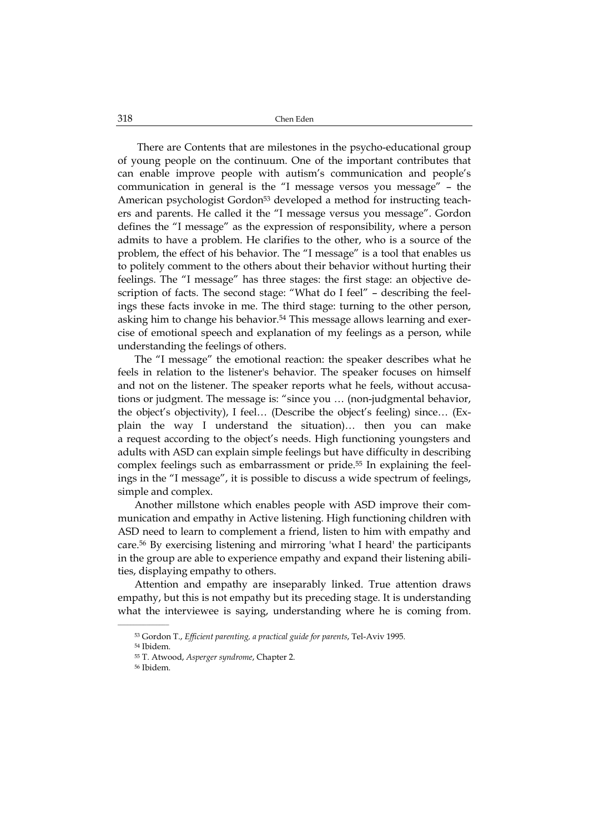There are Contents that are milestones in the psycho-educational group of young people on the continuum. One of the important contributes that can enable improve people with autism's communication and people's communication in general is the "I message versos you message" – the American psychologist Gordon<sup>53</sup> developed a method for instructing teachers and parents. He called it the "I message versus you message". Gordon defines the "I message" as the expression of responsibility, where a person admits to have a problem. He clarifies to the other, who is a source of the problem, the effect of his behavior. The "I message" is a tool that enables us to politely comment to the others about their behavior without hurting their feelings. The "I message" has three stages: the first stage: an objective description of facts. The second stage: "What do I feel" – describing the feelings these facts invoke in me. The third stage: turning to the other person, asking him to change his behavior.54 This message allows learning and exercise of emotional speech and explanation of my feelings as a person, while understanding the feelings of others.

The "I message" the emotional reaction: the speaker describes what he feels in relation to the listener's behavior. The speaker focuses on himself and not on the listener. The speaker reports what he feels, without accusations or judgment. The message is: "since you … (non-judgmental behavior, the object's objectivity), I feel… (Describe the object's feeling) since… (Explain the way I understand the situation)… then you can make a request according to the object's needs. High functioning youngsters and adults with ASD can explain simple feelings but have difficulty in describing complex feelings such as embarrassment or pride.55 In explaining the feelings in the "I message", it is possible to discuss a wide spectrum of feelings, simple and complex.

Another millstone which enables people with ASD improve their communication and empathy in Active listening. High functioning children with ASD need to learn to complement a friend, listen to him with empathy and care.56 By exercising listening and mirroring 'what I heard' the participants in the group are able to experience empathy and expand their listening abilities, displaying empathy to others.

Attention and empathy are inseparably linked. True attention draws empathy, but this is not empathy but its preceding stage. It is understanding what the interviewee is saying, understanding where he is coming from.

<sup>53</sup> Gordon T., *Efficient parenting, a practical guide for parents*, Tel-Aviv 1995.

<sup>54</sup> Ibidem.

<sup>55</sup> T. Atwood, *Asperger syndrome*, Chapter 2.

<sup>56</sup> Ibidem.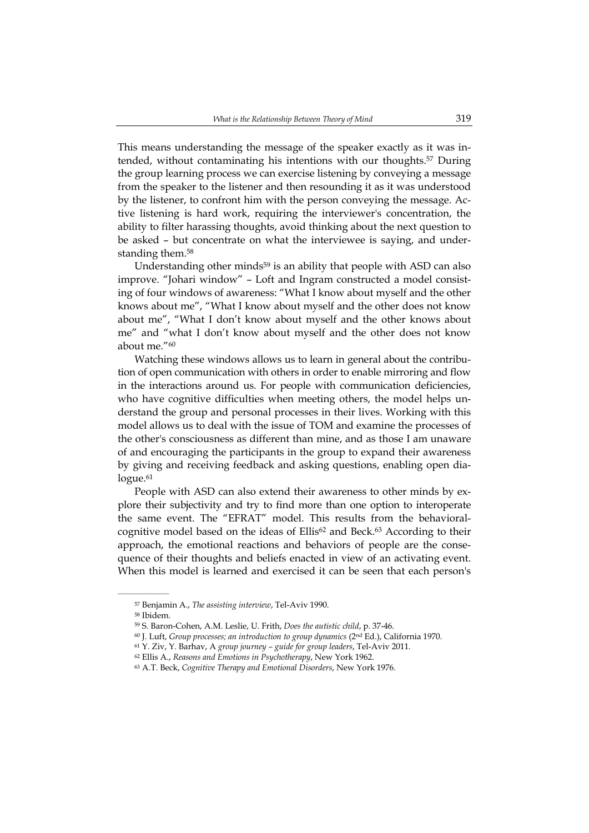This means understanding the message of the speaker exactly as it was intended, without contaminating his intentions with our thoughts.57 During the group learning process we can exercise listening by conveying a message from the speaker to the listener and then resounding it as it was understood by the listener, to confront him with the person conveying the message. Active listening is hard work, requiring the interviewer's concentration, the ability to filter harassing thoughts, avoid thinking about the next question to be asked – but concentrate on what the interviewee is saying, and understanding them.<sup>58</sup>

Understanding other minds<sup>59</sup> is an ability that people with ASD can also improve. "Johari window" – Loft and Ingram constructed a model consisting of four windows of awareness: "What I know about myself and the other knows about me", "What I know about myself and the other does not know about me", "What I don't know about myself and the other knows about me" and "what I don't know about myself and the other does not know about me."60

Watching these windows allows us to learn in general about the contribution of open communication with others in order to enable mirroring and flow in the interactions around us. For people with communication deficiencies, who have cognitive difficulties when meeting others, the model helps understand the group and personal processes in their lives. Working with this model allows us to deal with the issue of TOM and examine the processes of the other's consciousness as different than mine, and as those I am unaware of and encouraging the participants in the group to expand their awareness by giving and receiving feedback and asking questions, enabling open dialogue.<sup>61</sup>

People with ASD can also extend their awareness to other minds by explore their subjectivity and try to find more than one option to interoperate the same event. The "EFRAT" model. This results from the behavioralcognitive model based on the ideas of  $Ellis^{62}$  and Beck.<sup>63</sup> According to their approach, the emotional reactions and behaviors of people are the consequence of their thoughts and beliefs enacted in view of an activating event. When this model is learned and exercised it can be seen that each person's

<sup>57</sup> Benjamin A., *The assisting interview*, Tel-Aviv 1990.

<sup>58</sup> Ibidem.

<sup>59</sup> S. Baron-Cohen, A.M. Leslie, U. Frith, *Does the autistic child*, p. 37-46.

<sup>60</sup> J*.* Luft, *Group processes; an introduction to group dynamics* (2nd Ed.), California 1970.

<sup>61</sup> Y. Ziv, Y. Barhav, A *group journey – guide for group leaders*, Tel-Aviv 2011.

<sup>62</sup> Ellis A., *Reasons and Emotions in Psychotherapy*, New York 1962.

<sup>63</sup> A.T. Beck, *Cognitive Therapy and Emotional Disorders*, New York 1976.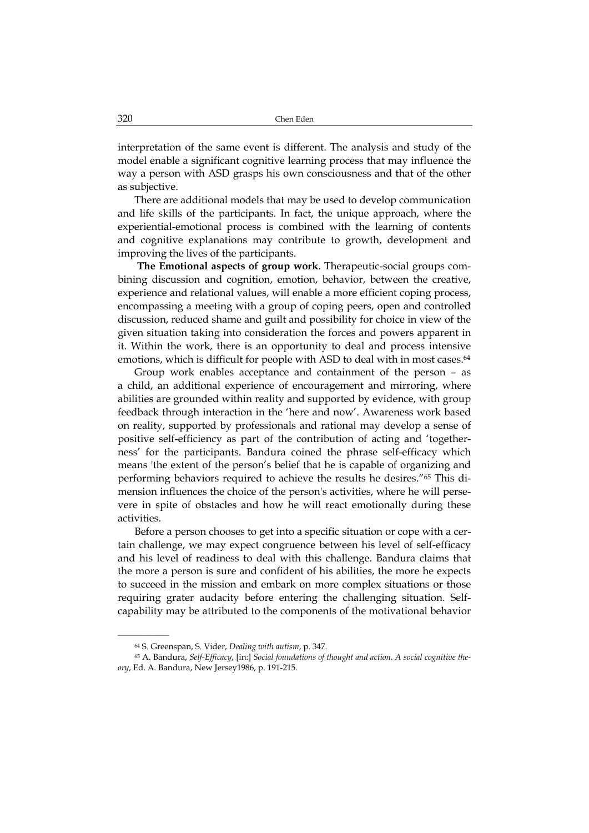interpretation of the same event is different. The analysis and study of the model enable a significant cognitive learning process that may influence the way a person with ASD grasps his own consciousness and that of the other as subjective.

There are additional models that may be used to develop communication and life skills of the participants. In fact, the unique approach, where the experiential-emotional process is combined with the learning of contents and cognitive explanations may contribute to growth, development and improving the lives of the participants.

**The Emotional aspects of group work**. Therapeutic-social groups combining discussion and cognition, emotion, behavior, between the creative, experience and relational values, will enable a more efficient coping process, encompassing a meeting with a group of coping peers, open and controlled discussion, reduced shame and guilt and possibility for choice in view of the given situation taking into consideration the forces and powers apparent in it. Within the work, there is an opportunity to deal and process intensive emotions, which is difficult for people with ASD to deal with in most cases.<sup>64</sup>

Group work enables acceptance and containment of the person – as a child, an additional experience of encouragement and mirroring, where abilities are grounded within reality and supported by evidence, with group feedback through interaction in the 'here and now'. Awareness work based on reality, supported by professionals and rational may develop a sense of positive self-efficiency as part of the contribution of acting and 'togetherness' for the participants. Bandura coined the phrase self-efficacy which means 'the extent of the person's belief that he is capable of organizing and performing behaviors required to achieve the results he desires."65 This dimension influences the choice of the person's activities, where he will persevere in spite of obstacles and how he will react emotionally during these activities.

Before a person chooses to get into a specific situation or cope with a certain challenge, we may expect congruence between his level of self-efficacy and his level of readiness to deal with this challenge. Bandura claims that the more a person is sure and confident of his abilities, the more he expects to succeed in the mission and embark on more complex situations or those requiring grater audacity before entering the challenging situation. Selfcapability may be attributed to the components of the motivational behavior

<sup>64</sup> S. Greenspan, S. Vider, *Dealing with autism*, p. 347.

<sup>65</sup> A. Bandura, *Self-Efficacy*, [in:] *Social foundations of thought and action. A social cognitive theory*, Ed. A. Bandura, New Jersey1986, p. 191-215.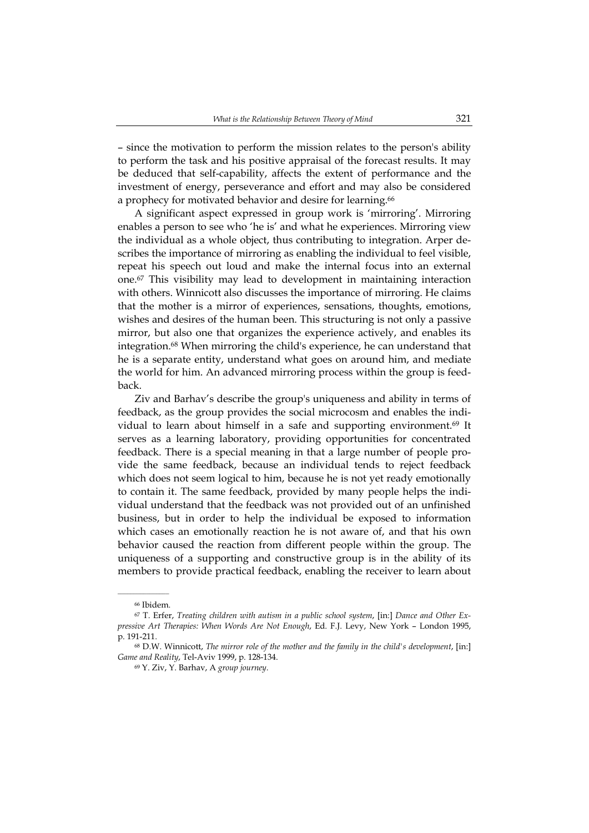– since the motivation to perform the mission relates to the person's ability to perform the task and his positive appraisal of the forecast results. It may be deduced that self-capability, affects the extent of performance and the investment of energy, perseverance and effort and may also be considered a prophecy for motivated behavior and desire for learning.<sup>66</sup>

A significant aspect expressed in group work is 'mirroring'. Mirroring enables a person to see who 'he is' and what he experiences. Mirroring view the individual as a whole object, thus contributing to integration. Arper describes the importance of mirroring as enabling the individual to feel visible, repeat his speech out loud and make the internal focus into an external one.67 This visibility may lead to development in maintaining interaction with others. Winnicott also discusses the importance of mirroring. He claims that the mother is a mirror of experiences, sensations, thoughts, emotions, wishes and desires of the human been. This structuring is not only a passive mirror, but also one that organizes the experience actively, and enables its integration.68 When mirroring the child's experience, he can understand that he is a separate entity, understand what goes on around him, and mediate the world for him. An advanced mirroring process within the group is feedback.

Ziv and Barhav's describe the group's uniqueness and ability in terms of feedback, as the group provides the social microcosm and enables the individual to learn about himself in a safe and supporting environment.69 It serves as a learning laboratory, providing opportunities for concentrated feedback. There is a special meaning in that a large number of people provide the same feedback, because an individual tends to reject feedback which does not seem logical to him, because he is not yet ready emotionally to contain it. The same feedback, provided by many people helps the individual understand that the feedback was not provided out of an unfinished business, but in order to help the individual be exposed to information which cases an emotionally reaction he is not aware of, and that his own behavior caused the reaction from different people within the group. The uniqueness of a supporting and constructive group is in the ability of its members to provide practical feedback, enabling the receiver to learn about

<sup>66</sup> Ibidem.

<sup>67</sup> T. Erfer, *Treating children with autism in a public school system*, [in:] *Dance and Other Expressive Art Therapies: When Words Are Not Enough*, Ed. F.J. Levy, New York – London 1995, p. 191-211.

<sup>68</sup> D.W. Winnicott, *The mirror role of the mother and the family in the child's development*, [in:] *Game and Reality*, Tel-Aviv 1999, p. 128-134.

<sup>69</sup> Y. Ziv, Y. Barhav, A *group journey*.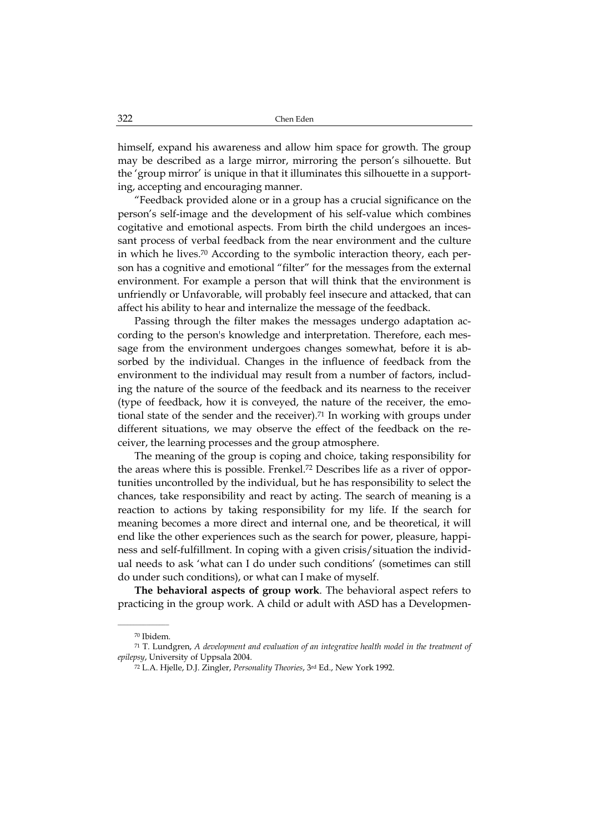himself, expand his awareness and allow him space for growth. The group may be described as a large mirror, mirroring the person's silhouette. But the 'group mirror' is unique in that it illuminates this silhouette in a supporting, accepting and encouraging manner.

"Feedback provided alone or in a group has a crucial significance on the person's self-image and the development of his self-value which combines cogitative and emotional aspects. From birth the child undergoes an incessant process of verbal feedback from the near environment and the culture in which he lives.70 According to the symbolic interaction theory, each person has a cognitive and emotional "filter" for the messages from the external environment. For example a person that will think that the environment is unfriendly or Unfavorable, will probably feel insecure and attacked, that can affect his ability to hear and internalize the message of the feedback.

Passing through the filter makes the messages undergo adaptation according to the person's knowledge and interpretation. Therefore, each message from the environment undergoes changes somewhat, before it is absorbed by the individual. Changes in the influence of feedback from the environment to the individual may result from a number of factors, including the nature of the source of the feedback and its nearness to the receiver (type of feedback, how it is conveyed, the nature of the receiver, the emotional state of the sender and the receiver).<sup>71</sup> In working with groups under different situations, we may observe the effect of the feedback on the receiver, the learning processes and the group atmosphere.

The meaning of the group is coping and choice, taking responsibility for the areas where this is possible. Frenkel.72 Describes life as a river of opportunities uncontrolled by the individual, but he has responsibility to select the chances, take responsibility and react by acting. The search of meaning is a reaction to actions by taking responsibility for my life. If the search for meaning becomes a more direct and internal one, and be theoretical, it will end like the other experiences such as the search for power, pleasure, happiness and self-fulfillment. In coping with a given crisis/situation the individual needs to ask 'what can I do under such conditions' (sometimes can still do under such conditions), or what can I make of myself.

**The behavioral aspects of group work**. The behavioral aspect refers to practicing in the group work. A child or adult with ASD has a Developmen-

<sup>70</sup> Ibidem.

<sup>71</sup> T. Lundgren, *A development and evaluation of an integrative health model in the treatment of epilepsy*, University of Uppsala 2004.

<sup>72</sup> L.A. Hjelle, D.J. Zingler, *Personality Theories*, 3rd Ed., New York 1992.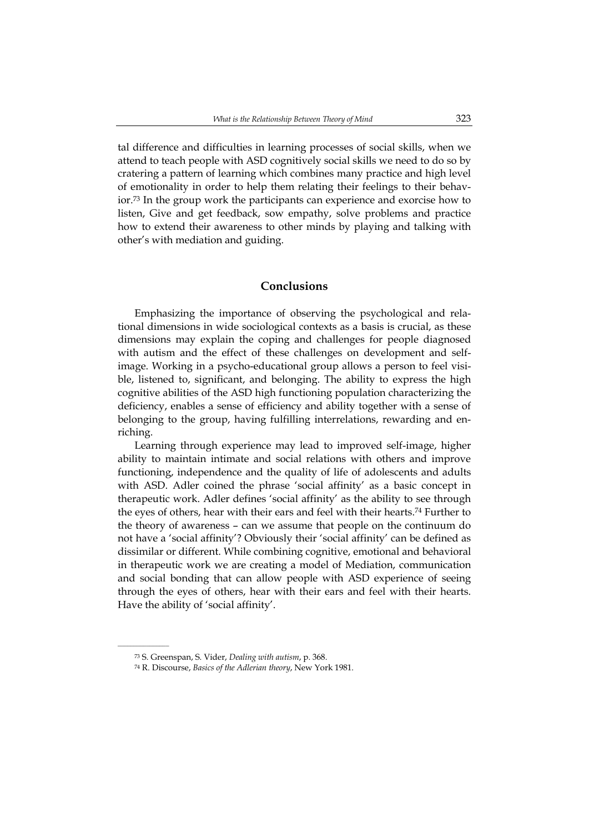tal difference and difficulties in learning processes of social skills, when we attend to teach people with ASD cognitively social skills we need to do so by cratering a pattern of learning which combines many practice and high level of emotionality in order to help them relating their feelings to their behavior.73 In the group work the participants can experience and exorcise how to listen, Give and get feedback, sow empathy, solve problems and practice how to extend their awareness to other minds by playing and talking with other's with mediation and guiding.

### **Conclusions**

Emphasizing the importance of observing the psychological and relational dimensions in wide sociological contexts as a basis is crucial, as these dimensions may explain the coping and challenges for people diagnosed with autism and the effect of these challenges on development and selfimage. Working in a psycho-educational group allows a person to feel visible, listened to, significant, and belonging. The ability to express the high cognitive abilities of the ASD high functioning population characterizing the deficiency, enables a sense of efficiency and ability together with a sense of belonging to the group, having fulfilling interrelations, rewarding and enriching.

Learning through experience may lead to improved self-image, higher ability to maintain intimate and social relations with others and improve functioning, independence and the quality of life of adolescents and adults with ASD. Adler coined the phrase 'social affinity' as a basic concept in therapeutic work. Adler defines 'social affinity' as the ability to see through the eyes of others, hear with their ears and feel with their hearts.74 Further to the theory of awareness – can we assume that people on the continuum do not have a 'social affinity'? Obviously their 'social affinity' can be defined as dissimilar or different. While combining cognitive, emotional and behavioral in therapeutic work we are creating a model of Mediation, communication and social bonding that can allow people with ASD experience of seeing through the eyes of others, hear with their ears and feel with their hearts. Have the ability of 'social affinity'.

<sup>73</sup> S. Greenspan, S. Vider, *Dealing with autism*, p. 368.

<sup>74</sup> R. Discourse, *Basics of the Adlerian theory*, New York 1981.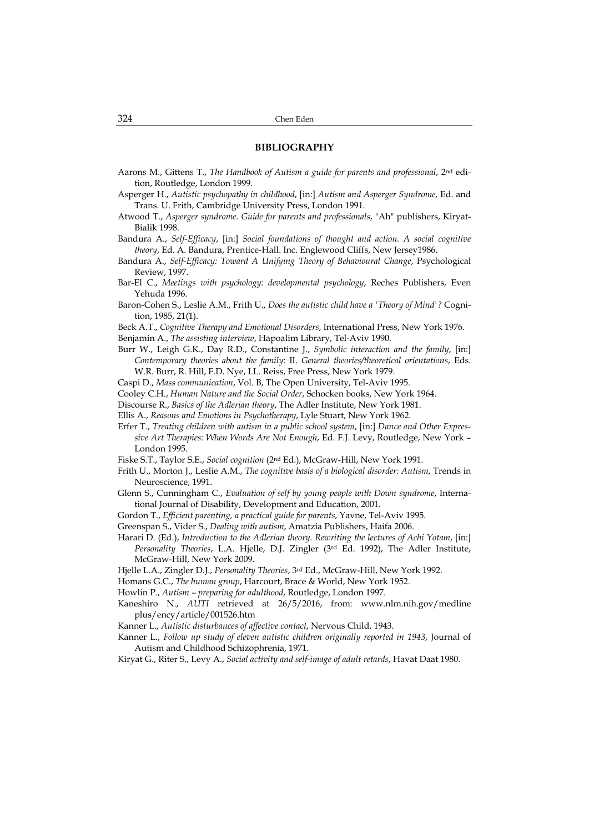#### **BIBLIOGRAPHY**

- Aarons M., Gittens T., *The Handbook of Autism a guide for parents and professional*, 2nd edition, Routledge, London 1999.
- Asperger H., *Autistic psychopathy in childhood*, [in:] *Autism and Asperger Syndrome*, Ed. and Trans. U. Frith, Cambridge University Press, London 1991.
- Atwood T., *Asperger syndrome. Guide for parents and professionals*, "Ah" publishers, Kiryat-Bialik 1998.
- Bandura A., *Self-Efficacy*, [in:] *Social foundations of thought and action. A social cognitive theory*, Ed. A. Bandura, Prentice-Hall. Inc. Englewood Cliffs, New Jersey1986.
- Bandura A., *Self-Efficacy: Toward A Unifying Theory of Behavioural Change*, Psychological Review, 1997.
- Bar-El C., *Meetings with psychology: developmental psychology*, Reches Publishers, Even Yehuda 1996.
- Baron-Cohen S., Leslie A.M., Frith U., *Does the autistic child have a 'Theory of Mind'?* Cognition, 1985, 21(1).
- Beck A.T., *Cognitive Therapy and Emotional Disorders*, International Press, New York 1976.
- Benjamin A., *The assisting interview*, Hapoalim Library, Tel-Aviv 1990.
- Burr W., Leigh G.K., Day R.D., Constantine J., *Symbolic interaction and the family*, [in:] *Contemporary theories about the family*: II. *General theories/theoretical orientations*, Eds. W.R. Burr, R. Hill, F.D. Nye, I.L. Reiss, Free Press, New York 1979.
- Caspi D., *Mass communication*, Vol. B, The Open University, Tel-Aviv 1995.
- Cooley C.H., *Human Nature and the Social Order*, Schocken books, New York 1964.
- Discourse R., *Basics of the Adlerian theory*, The Adler Institute, New York 1981.
- Ellis A., *Reasons and Emotions in Psychotherapy*, Lyle Stuart, New York 1962.
- Erfer T., *Treating children with autism in a public school system*, [in:] *Dance and Other Expressive Art Therapies: When Words Are Not Enough*, Ed. F.J. Levy, Routledge, New York – London 1995.
- Fiske S.T., Taylor S.E., *Social cognition* (2nd Ed.), McGraw-Hill, New York 1991.
- Frith U., Morton J., Leslie A.M., *The cognitive basis of a biological disorder: Autism*, Trends in Neuroscience, 1991.
- Glenn S., Cunningham C., *Evaluation of self by young people with Down syndrome*, International Journal of Disability, Development and Education, 2001.
- Gordon T., *Efficient parenting, a practical guide for parents*, Yavne, Tel-Aviv 1995.
- Greenspan S., Vider S., *Dealing with autism*, Amatzia Publishers, Haifa 2006.
- Harari D. (Ed.), *Introduction to the Adlerian theory. Rewriting the lectures of Achi Yotam*, [in:] *Personality Theories*, L.A. Hjelle, D.J. Zingler (3rd Ed. 1992), The Adler Institute, McGraw-Hill, New York 2009.
- Hjelle L.A., Zingler D.J., *Personality Theories*, 3rd Ed., McGraw-Hill, New York 1992.
- Homans G.C., *The human group*, Harcourt, Brace & World, New York 1952.
- Howlin P., *Autism preparing for adulthood*, Routledge, London 1997.
- Kaneshiro N., *AUTI* retrieved at 26/5/2016, from: www.nlm.nih.gov/medline plus/ency/article/001526.htm
- Kanner L., *Autistic disturbances of affective contact*, Nervous Child, 1943.
- Kanner L., *Follow up study of eleven autistic children originally reported in 1943*, Journal of Autism and Childhood Schizophrenia, 1971.
- Kiryat G., Riter S., Levy A., *Social activity and self-image of adult retards*, Havat Daat 1980.